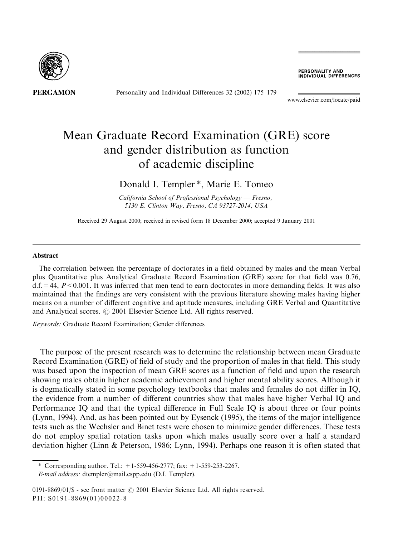

Personality and Individual Differences 32 (2002) 175-179

**PERSONALITY AND<br>INDIVIDUAL DIFFERENCES** 

www.elsevier.com/locate/paid

# Mean Graduate Record Examination (GRE) score and gender distribution as function of academic discipline

## Donald I. Templer<sup>\*</sup>, Marie E. Tomeo

California School of Professional Psychology  $-$  Fresno, 5130 E. Clinton Way, Fresno, CA 93727-2014, USA

Received 29 August 2000; received in revised form 18 December 2000; accepted 9 January 2001

#### Abstract

The correlation between the percentage of doctorates in a field obtained by males and the mean Verbal plus Quantitative plus Analytical Graduate Record Examination (GRE) score for that field was 0.76,  $d.f. = 44, P < 0.001$ . It was inferred that men tend to earn doctorates in more demanding fields. It was also maintained that the findings are very consistent with the previous literature showing males having higher means on a number of different cognitive and aptitude measures, including GRE Verbal and Quantitative and Analytical scores. © 2001 Elsevier Science Ltd. All rights reserved.

Keywords: Graduate Record Examination; Gender differences

The purpose of the present research was to determine the relationship between mean Graduate Record Examination (GRE) of field of study and the proportion of males in that field. This study was based upon the inspection of mean GRE scores as a function of field and upon the research showing males obtain higher academic achievement and higher mental ability scores. Although it is dogmatically stated in some psychology textbooks that males and females do not differ in IQ, the evidence from a number of different countries show that males have higher Verbal IQ and Performance IO and that the typical difference in Full Scale IO is about three or four points (Lynn, 1994). And, as has been pointed out by Eysenck (1995), the items of the major intelligence tests such as the Wechsler and Binet tests were chosen to minimize gender differences. These tests do not employ spatial rotation tasks upon which males usually score over a half a standard deviation higher (Linn & Peterson, 1986; Lynn, 1994). Perhaps one reason it is often stated that

\* Corresponding author. Tel.:  $+1-559-456-2777$ ; fax:  $+1-559-253-2267$ .

E-mail address: dtempler@mail.cspp.edu (D.I. Templer).

0191-8869/01/\$ - see front matter © 2001 Elsevier Science Ltd. All rights reserved. PII: S0191-8869(01)00022-8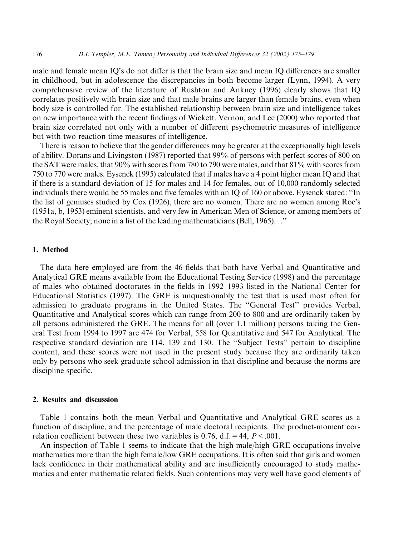male and female mean IQ's do not differ is that the brain size and mean IQ differences are smaller in childhood, but in adolescence the discrepancies in both become larger (Lynn, 1994). A very comprehensive review of the literature of Rushton and Ankney (1996) clearly shows that IQ correlates positively with brain size and that male brains are larger than female brains, even when body size is controlled for. The established relationship between brain size and intelligence takes on new importance with the recent findings of Wickett, Vernon, and Lee (2000) who reported that brain size correlated not only with a number of different psychometric measures of intelligence but with two reaction time measures of intelligence.

There is reason to believe that the gender differences may be greater at the exceptionally high levels of ability. Dorans and Livingston (1987) reported that 99% of persons with perfect scores of 800 on the SAT were males, that 90% with scores from 780 to 790 were males, and that 81% with scores from 750 to 770 were males. Eysenck (1995) calculated that if males have a 4 point higher mean IQ and that if there is a standard deviation of 15 for males and 14 for females, out of 10,000 randomly selected individuals there would be 55 males and five females with an IQ of 160 or above. Eysenck stated: "In the list of geniuses studied by Cox (1926), there are no women. There are no women among Roe's (1951a, b, 1953) eminent scientists, and very few in American Men of Science, or among members of the Royal Society; none in a list of the leading mathematicians (Bell, 1965)..."

### 1. Method

The data here employed are from the 46 fields that both have Verbal and Quantitative and Analytical GRE means available from the Educational Testing Service (1998) and the percentage of males who obtained doctorates in the fields in 1992–1993 listed in the National Center for Educational Statistics (1997). The GRE is unquestionably the test that is used most often for admission to graduate programs in the United States. The "General Test" provides Verbal, Quantitative and Analytical scores which can range from 200 to 800 and are ordinarily taken by all persons administered the GRE. The means for all (over 1.1 million) persons taking the General Test from 1994 to 1997 are 474 for Verbal, 558 for Quantitative and 547 for Analytical. The respective standard deviation are 114, 139 and 130. The "Subject Tests" pertain to discipline content, and these scores were not used in the present study because they are ordinarily taken only by persons who seek graduate school admission in that discipline and because the norms are discipline specific.

#### 2. Results and discussion

Table 1 contains both the mean Verbal and Quantitative and Analytical GRE scores as a function of discipline, and the percentage of male doctoral recipients. The product-moment correlation coefficient between these two variables is 0.76, d.f. = 44,  $P < .001$ .

An inspection of Table 1 seems to indicate that the high male/high GRE occupations involve mathematics more than the high female/low GRE occupations. It is often said that girls and women lack confidence in their mathematical ability and are insufficiently encouraged to study mathematics and enter mathematic related fields. Such contentions may very well have good elements of

176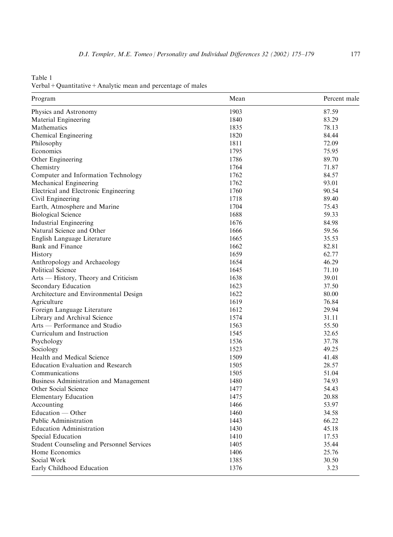Table 1 Verbal + Quantitative + Analytic mean and percentage of males

| Program                                   | Mean | Percent male |
|-------------------------------------------|------|--------------|
| Physics and Astronomy                     | 1903 | 87.59        |
| Material Engineering                      | 1840 | 83.29        |
| Mathematics                               | 1835 | 78.13        |
| Chemical Engineering                      | 1820 | 84.44        |
| Philosophy                                | 1811 | 72.09        |
| Economics                                 | 1795 | 75.95        |
| Other Engineering                         | 1786 | 89.70        |
| Chemistry                                 | 1764 | 71.87        |
| Computer and Information Technology       | 1762 | 84.57        |
| Mechanical Engineering                    | 1762 | 93.01        |
| Electrical and Electronic Engineering     | 1760 | 90.54        |
| Civil Engineering                         | 1718 | 89.40        |
| Earth, Atmosphere and Marine              | 1704 | 75.43        |
| <b>Biological Science</b>                 | 1688 | 59.33        |
| Industrial Engineering                    | 1676 | 84.98        |
| Natural Science and Other                 | 1666 | 59.56        |
| English Language Literature               | 1665 | 35.53        |
| Bank and Finance                          | 1662 | 82.81        |
| History                                   | 1659 | 62.77        |
| Anthropology and Archaeology              | 1654 | 46.29        |
| Political Science                         | 1645 | 71.10        |
| Arts - History, Theory and Criticism      | 1638 | 39.01        |
| Secondary Education                       | 1623 | 37.50        |
| Architecture and Environmental Design     | 1622 | 80.00        |
| Agriculture                               | 1619 | 76.84        |
| Foreign Language Literature               | 1612 | 29.94        |
| Library and Archival Science              | 1574 | 31.11        |
| Arts — Performance and Studio             | 1563 | 55.50        |
| Curriculum and Instruction                | 1545 | 32.65        |
| Psychology                                | 1536 | 37.78        |
| Sociology                                 | 1523 | 49.25        |
| Health and Medical Science                | 1509 | 41.48        |
| <b>Education Evaluation and Research</b>  | 1505 | 28.57        |
| Communications                            | 1505 | 51.04        |
| Business Administration and Management    | 1480 | 74.93        |
| Other Social Science                      | 1477 | 54.43        |
| <b>Elementary Education</b>               | 1475 | 20.88        |
| Accounting                                | 1466 | 53.97        |
| $Education - Other$                       | 1460 | 34.58        |
| Public Administration                     | 1443 | 66.22        |
| <b>Education Administration</b>           | 1430 | 45.18        |
| Special Education                         | 1410 | 17.53        |
| Student Counseling and Personnel Services | 1405 | 35.44        |
| Home Economics                            | 1406 | 25.76        |
| Social Work                               | 1385 | 30.50        |
| Early Childhood Education                 | 1376 | 3.23         |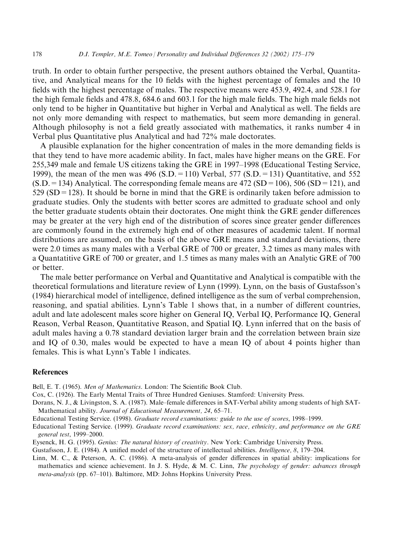truth. In order to obtain further perspective, the present authors obtained the Verbal, Quantitative, and Analytical means for the 10 fields with the highest percentage of females and the 10 fields with the highest percentage of males. The respective means were 453.9, 492.4, and 528.1 for the high female fields and 478.8, 684.6 and 603.1 for the high male fields. The high male fields not only tend to be higher in Quantitative but higher in Verbal and Analytical as well. The fields are not only more demanding with respect to mathematics, but seem more demanding in general. Although philosophy is not a field greatly associated with mathematics, it ranks number 4 in Verbal plus Quantitative plus Analytical and had 72% male doctorates.

A plausible explanation for the higher concentration of males in the more demanding fields is that they tend to have more academic ability. In fact, males have higher means on the GRE. For 255,349 male and female US citizens taking the GRE in 1997–1998 (Educational Testing Service, 1999), the mean of the men was 496 (S.D. = 110) Verbal, 577 (S.D. = 131) Quantitative, and 552  $(S.D. = 134)$  Analytical. The corresponding female means are 472  $(SD = 106)$ , 506  $(SD = 121)$ , and  $529$  (SD = 128). It should be borne in mind that the GRE is ordinarily taken before admission to graduate studies. Only the students with better scores are admitted to graduate school and only the better graduate students obtain their doctorates. One might think the GRE gender differences may be greater at the very high end of the distribution of scores since greater gender differences are commonly found in the extremely high end of other measures of academic talent. If normal distributions are assumed, on the basis of the above GRE means and standard deviations, there were 2.0 times as many males with a Verbal GRE of 700 or greater, 3.2 times as many males with a Quantatitive GRE of 700 or greater, and 1.5 times as many males with an Analytic GRE of 700 or better.

The male better performance on Verbal and Quantitative and Analytical is compatible with the theoretical formulations and literature review of Lynn (1999). Lynn, on the basis of Gustafsson's (1984) hierarchical model of intelligence, defined intelligence as the sum of verbal comprehension, reasoning, and spatial abilities. Lynn's Table 1 shows that, in a number of different countries, adult and late adolescent males score higher on General IQ, Verbal IQ, Performance IQ, General Reason, Verbal Reason, Quantitative Reason, and Spatial IQ. Lynn inferred that on the basis of adult males having a 0.78 standard deviation larger brain and the correlation between brain size and IQ of 0.30, males would be expected to have a mean IQ of about 4 points higher than females. This is what Lynn's Table 1 indicates.

#### **References**

Bell, E. T. (1965). Men of Mathematics. London: The Scientific Book Club.

Cox, C. (1926). The Early Mental Traits of Three Hundred Geniuses. Stamford: University Press.

Dorans, N. J., & Livingston, S. A. (1987). Male–female differences in SAT-Verbal ability among students of high SAT-Mathematical ability. Journal of Educational Measurement, 24, 65-71.

Educational Testing Service. (1998). Graduate record examinations: guide to the use of scores, 1998–1999.

- Educational Testing Service. (1999). Graduate record examinations: sex, race, ethnicity, and performance on the GRE general test, 1999-2000.
- Eysenck, H. G. (1995). Genius: The natural history of creativity. New York: Cambridge University Press.

Gustafsson, J. E. (1984). A unified model of the structure of intellectual abilities. *Intelligence*, 8, 179–204.

Linn, M. C., & Peterson, A. C. (1986). A meta-analysis of gender differences in spatial ability: implications for mathematics and science achievement. In J. S. Hyde, & M. C. Linn, The psychology of gender: advances through *meta-analysis* (pp. 67–101). Baltimore, MD: Johns Hopkins University Press.

178